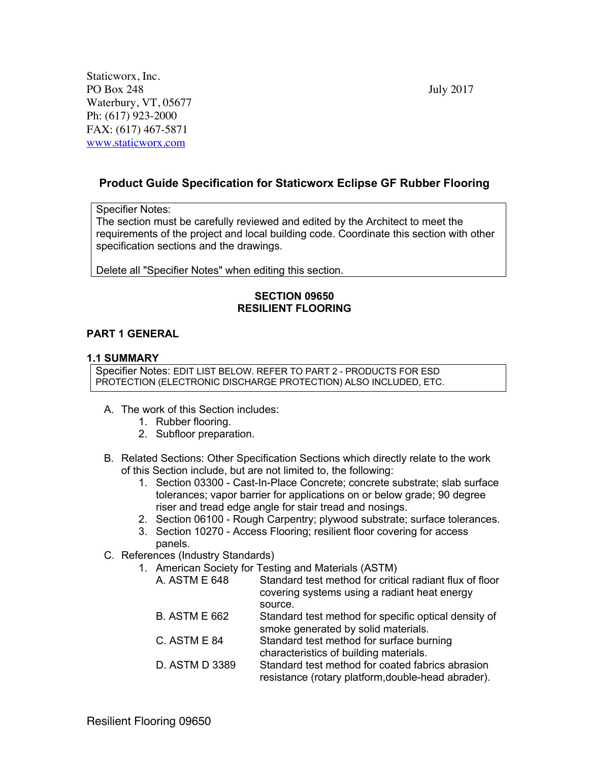Staticworx, Inc. PO Box 248 July 2017 Waterbury, VT, 05677 Ph: (617) 923-2000 FAX: (617) 467-5871 www.staticworx.com

# **Product Guide Specification for Staticworx Eclipse GF Rubber Flooring**

#### Specifier Notes:

The section must be carefully reviewed and edited by the Architect to meet the requirements of the project and local building code. Coordinate this section with other specification sections and the drawings.

Delete all "Specifier Notes" when editing this section.

#### **SECTION 09650 RESILIENT FLOORING**

### **PART 1 GENERAL**

### **1.1 SUMMARY**

Specifier Notes: EDIT LIST BELOW. REFER TO PART 2 - PRODUCTS FOR ESD PROTECTION (ELECTRONIC DISCHARGE PROTECTION) ALSO INCLUDED, ETC.

- A. The work of this Section includes:
	- 1. Rubber flooring.
	- 2. Subfloor preparation.
- B. Related Sections: Other Specification Sections which directly relate to the work of this Section include, but are not limited to, the following:
	- 1. Section 03300 Cast-In-Place Concrete; concrete substrate; slab surface tolerances; vapor barrier for applications on or below grade; 90 degree riser and tread edge angle for stair tread and nosings.
	- 2. Section 06100 Rough Carpentry; plywood substrate; surface tolerances.
	- 3. Section 10270 Access Flooring; resilient floor covering for access panels.
- C. References (Industry Standards)
	- 1. American Society for Testing and Materials (ASTM)
		- A. ASTM E 648 Standard test method for critical radiant flux of floor covering systems using a radiant heat energy source.
		- B. ASTM E 662 Standard test method for specific optical density of smoke generated by solid materials.
		- C. ASTM E 84 Standard test method for surface burning characteristics of building materials.
		- D. ASTM D 3389 Standard test method for coated fabrics abrasion resistance (rotary platform,double-head abrader).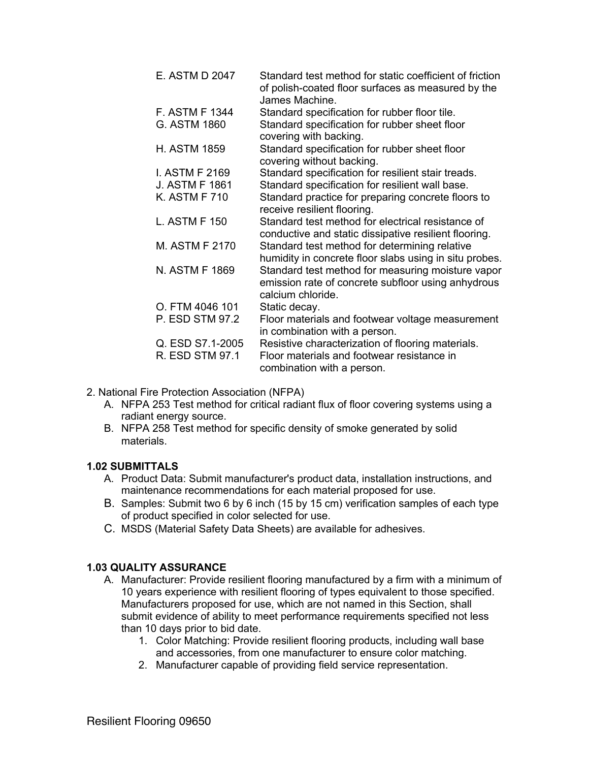| E. ASTM D 2047        | Standard test method for static coefficient of friction<br>of polish-coated floor surfaces as measured by the<br>James Machine. |
|-----------------------|---------------------------------------------------------------------------------------------------------------------------------|
| <b>F. ASTM F 1344</b> | Standard specification for rubber floor tile.                                                                                   |
| G. ASTM 1860          | Standard specification for rubber sheet floor<br>covering with backing.                                                         |
| <b>H. ASTM 1859</b>   | Standard specification for rubber sheet floor<br>covering without backing.                                                      |
| I. ASTM F 2169        | Standard specification for resilient stair treads.                                                                              |
| <b>J. ASTM F 1861</b> | Standard specification for resilient wall base.                                                                                 |
| <b>K. ASTM F 710</b>  | Standard practice for preparing concrete floors to<br>receive resilient flooring.                                               |
| L. ASTM F 150         | Standard test method for electrical resistance of<br>conductive and static dissipative resilient flooring.                      |
| M. ASTM F 2170        | Standard test method for determining relative<br>humidity in concrete floor slabs using in situ probes.                         |
| N. ASTM F 1869        | Standard test method for measuring moisture vapor<br>emission rate of concrete subfloor using anhydrous<br>calcium chloride.    |
| O. FTM 4046 101       | Static decay.                                                                                                                   |
| P. ESD STM 97.2       | Floor materials and footwear voltage measurement<br>in combination with a person.                                               |
| Q. ESD S7.1-2005      | Resistive characterization of flooring materials.                                                                               |
| R. ESD STM 97.1       | Floor materials and footwear resistance in<br>combination with a person.                                                        |

- 2. National Fire Protection Association (NFPA)
	- A. NFPA 253 Test method for critical radiant flux of floor covering systems using a radiant energy source.
	- B. NFPA 258 Test method for specific density of smoke generated by solid materials.

### **1.02 SUBMITTALS**

- A. Product Data: Submit manufacturer's product data, installation instructions, and maintenance recommendations for each material proposed for use.
- B. Samples: Submit two 6 by 6 inch (15 by 15 cm) verification samples of each type of product specified in color selected for use.
- C. MSDS (Material Safety Data Sheets) are available for adhesives.

# **1.03 QUALITY ASSURANCE**

- A. Manufacturer: Provide resilient flooring manufactured by a firm with a minimum of 10 years experience with resilient flooring of types equivalent to those specified. Manufacturers proposed for use, which are not named in this Section, shall submit evidence of ability to meet performance requirements specified not less than 10 days prior to bid date.
	- 1. Color Matching: Provide resilient flooring products, including wall base and accessories, from one manufacturer to ensure color matching.
	- 2. Manufacturer capable of providing field service representation.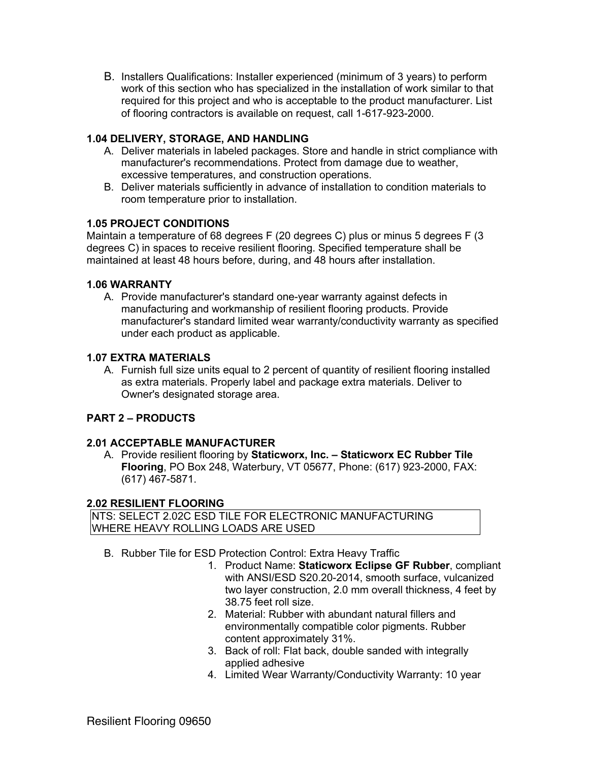B. Installers Qualifications: Installer experienced (minimum of 3 years) to perform work of this section who has specialized in the installation of work similar to that required for this project and who is acceptable to the product manufacturer. List of flooring contractors is available on request, call 1-617-923-2000.

# **1.04 DELIVERY, STORAGE, AND HANDLING**

- A. Deliver materials in labeled packages. Store and handle in strict compliance with manufacturer's recommendations. Protect from damage due to weather, excessive temperatures, and construction operations.
- B. Deliver materials sufficiently in advance of installation to condition materials to room temperature prior to installation.

### **1.05 PROJECT CONDITIONS**

Maintain a temperature of 68 degrees F (20 degrees C) plus or minus 5 degrees F (3 degrees C) in spaces to receive resilient flooring. Specified temperature shall be maintained at least 48 hours before, during, and 48 hours after installation.

### **1.06 WARRANTY**

A. Provide manufacturer's standard one-year warranty against defects in manufacturing and workmanship of resilient flooring products. Provide manufacturer's standard limited wear warranty/conductivity warranty as specified under each product as applicable.

### **1.07 EXTRA MATERIALS**

A. Furnish full size units equal to 2 percent of quantity of resilient flooring installed as extra materials. Properly label and package extra materials. Deliver to Owner's designated storage area.

# **PART 2 – PRODUCTS**

### **2.01 ACCEPTABLE MANUFACTURER**

A. Provide resilient flooring by **Staticworx, Inc. – Staticworx EC Rubber Tile Flooring**, PO Box 248, Waterbury, VT 05677, Phone: (617) 923-2000, FAX: (617) 467-5871.

### **2.02 RESILIENT FLOORING**

NTS: SELECT 2.02C ESD TILE FOR ELECTRONIC MANUFACTURING WHERE HEAVY ROLLING LOADS ARE USED

- B. Rubber Tile for ESD Protection Control: Extra Heavy Traffic
	- 1. Product Name: **Staticworx Eclipse GF Rubber**, compliant with ANSI/ESD S20.20-2014, smooth surface, vulcanized two layer construction, 2.0 mm overall thickness, 4 feet by 38.75 feet roll size.
	- 2. Material: Rubber with abundant natural fillers and environmentally compatible color pigments. Rubber content approximately 31%.
	- 3. Back of roll: Flat back, double sanded with integrally applied adhesive
	- 4. Limited Wear Warranty/Conductivity Warranty: 10 year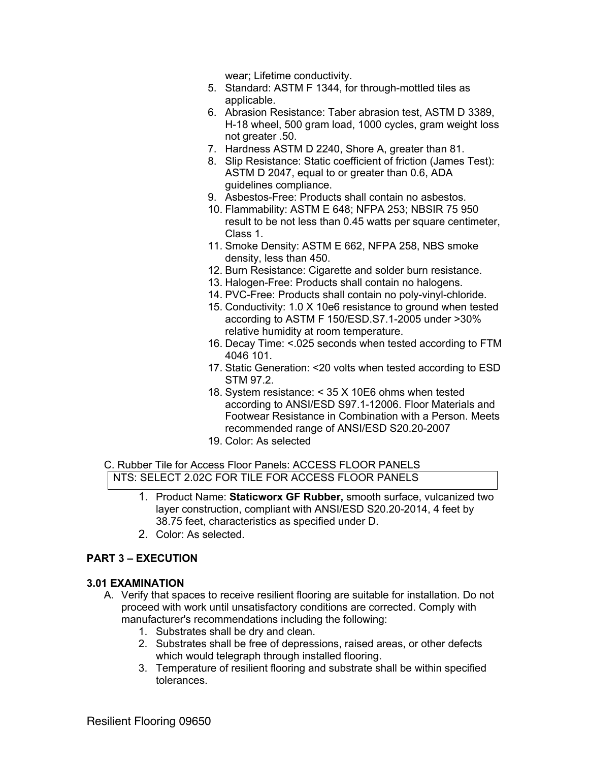wear; Lifetime conductivity.

- 5. Standard: ASTM F 1344, for through-mottled tiles as applicable.
- 6. Abrasion Resistance: Taber abrasion test, ASTM D 3389, H-18 wheel, 500 gram load, 1000 cycles, gram weight loss not greater .50.
- 7. Hardness ASTM D 2240, Shore A, greater than 81.
- 8. Slip Resistance: Static coefficient of friction (James Test): ASTM D 2047, equal to or greater than 0.6, ADA guidelines compliance.
- 9. Asbestos-Free: Products shall contain no asbestos.
- 10. Flammability: ASTM E 648; NFPA 253; NBSIR 75 950 result to be not less than 0.45 watts per square centimeter, Class 1.
- 11. Smoke Density: ASTM E 662, NFPA 258, NBS smoke density, less than 450.
- 12. Burn Resistance: Cigarette and solder burn resistance.
- 13. Halogen-Free: Products shall contain no halogens.
- 14. PVC-Free: Products shall contain no poly-vinyl-chloride.
- 15. Conductivity: 1.0 X 10e6 resistance to ground when tested according to ASTM F 150/ESD.S7.1-2005 under >30% relative humidity at room temperature.
- 16. Decay Time: <.025 seconds when tested according to FTM 4046 101.
- 17. Static Generation: <20 volts when tested according to ESD STM 97.2.
- 18. System resistance: < 35 X 10E6 ohms when tested according to ANSI/ESD S97.1-12006. Floor Materials and Footwear Resistance in Combination with a Person. Meets recommended range of ANSI/ESD S20.20-2007
- 19. Color: As selected

#### C. Rubber Tile for Access Floor Panels: ACCESS FLOOR PANELS NTS: SELECT 2.02C FOR TILE FOR ACCESS FLOOR PANELS

- 1. Product Name: **Staticworx GF Rubber,** smooth surface, vulcanized two layer construction, compliant with ANSI/ESD S20.20-2014, 4 feet by 38.75 feet, characteristics as specified under D.
- 2. Color: As selected.

# **PART 3 – EXECUTION**

### **3.01 EXAMINATION**

- A. Verify that spaces to receive resilient flooring are suitable for installation. Do not proceed with work until unsatisfactory conditions are corrected. Comply with manufacturer's recommendations including the following:
	- 1. Substrates shall be dry and clean.
	- 2. Substrates shall be free of depressions, raised areas, or other defects which would telegraph through installed flooring.
	- 3. Temperature of resilient flooring and substrate shall be within specified tolerances.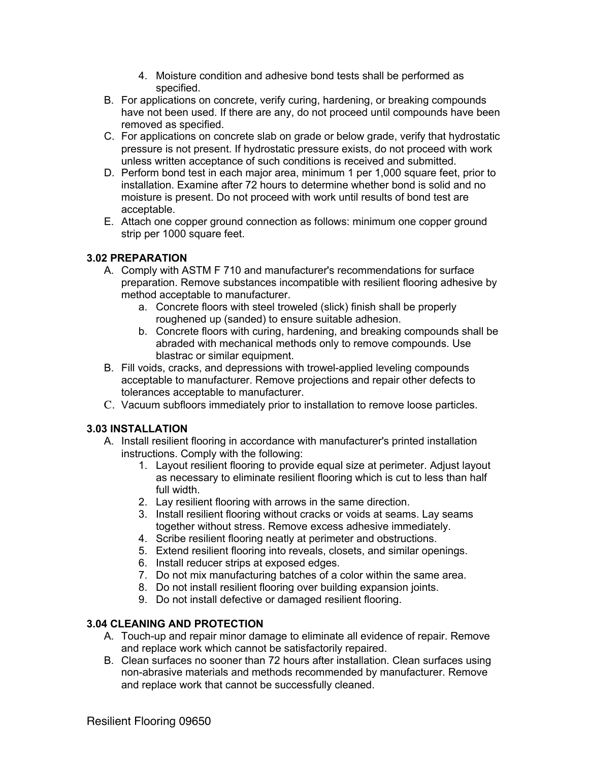- 4. Moisture condition and adhesive bond tests shall be performed as specified.
- B. For applications on concrete, verify curing, hardening, or breaking compounds have not been used. If there are any, do not proceed until compounds have been removed as specified.
- C. For applications on concrete slab on grade or below grade, verify that hydrostatic pressure is not present. If hydrostatic pressure exists, do not proceed with work unless written acceptance of such conditions is received and submitted.
- D. Perform bond test in each major area, minimum 1 per 1,000 square feet, prior to installation. Examine after 72 hours to determine whether bond is solid and no moisture is present. Do not proceed with work until results of bond test are acceptable.
- E. Attach one copper ground connection as follows: minimum one copper ground strip per 1000 square feet.

# **3.02 PREPARATION**

- A. Comply with ASTM F 710 and manufacturer's recommendations for surface preparation. Remove substances incompatible with resilient flooring adhesive by method acceptable to manufacturer.
	- a. Concrete floors with steel troweled (slick) finish shall be properly roughened up (sanded) to ensure suitable adhesion.
	- b. Concrete floors with curing, hardening, and breaking compounds shall be abraded with mechanical methods only to remove compounds. Use blastrac or similar equipment.
- B. Fill voids, cracks, and depressions with trowel-applied leveling compounds acceptable to manufacturer. Remove projections and repair other defects to tolerances acceptable to manufacturer.
- C. Vacuum subfloors immediately prior to installation to remove loose particles.

# **3.03 INSTALLATION**

- A. Install resilient flooring in accordance with manufacturer's printed installation instructions. Comply with the following:
	- 1. Layout resilient flooring to provide equal size at perimeter. Adjust layout as necessary to eliminate resilient flooring which is cut to less than half full width.
	- 2. Lay resilient flooring with arrows in the same direction.
	- 3. Install resilient flooring without cracks or voids at seams. Lay seams together without stress. Remove excess adhesive immediately.
	- 4. Scribe resilient flooring neatly at perimeter and obstructions.
	- 5. Extend resilient flooring into reveals, closets, and similar openings.
	- 6. Install reducer strips at exposed edges.
	- 7. Do not mix manufacturing batches of a color within the same area.
	- 8. Do not install resilient flooring over building expansion joints.
	- 9. Do not install defective or damaged resilient flooring.

# **3.04 CLEANING AND PROTECTION**

- A. Touch-up and repair minor damage to eliminate all evidence of repair. Remove and replace work which cannot be satisfactorily repaired.
- B. Clean surfaces no sooner than 72 hours after installation. Clean surfaces using non-abrasive materials and methods recommended by manufacturer. Remove and replace work that cannot be successfully cleaned.